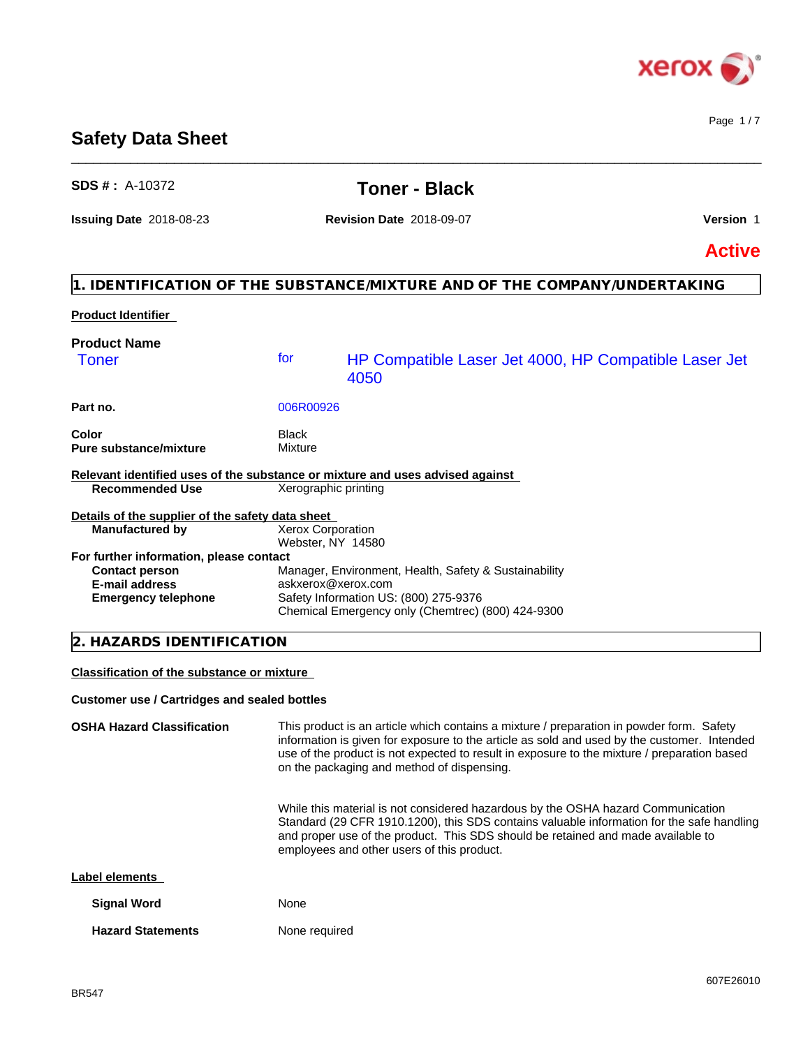

Page 1 / 7

# **Safety Data Sheet**

| $SDS # : A-10372$                                                                                                |                                 | <b>Toner - Black</b>                                                                                                                                                                                                                                                                                                                 |               |
|------------------------------------------------------------------------------------------------------------------|---------------------------------|--------------------------------------------------------------------------------------------------------------------------------------------------------------------------------------------------------------------------------------------------------------------------------------------------------------------------------------|---------------|
| <b>Issuing Date 2018-08-23</b>                                                                                   | <b>Revision Date 2018-09-07</b> |                                                                                                                                                                                                                                                                                                                                      | Version 1     |
|                                                                                                                  |                                 |                                                                                                                                                                                                                                                                                                                                      | <b>Active</b> |
|                                                                                                                  |                                 | 1. IDENTIFICATION OF THE SUBSTANCE/MIXTURE AND OF THE COMPANY/UNDERTAKING                                                                                                                                                                                                                                                            |               |
| <b>Product Identifier</b>                                                                                        |                                 |                                                                                                                                                                                                                                                                                                                                      |               |
| <b>Product Name</b><br><b>Toner</b>                                                                              | for                             | HP Compatible Laser Jet 4000, HP Compatible Laser Jet<br>4050                                                                                                                                                                                                                                                                        |               |
| Part no.                                                                                                         | 006R00926                       |                                                                                                                                                                                                                                                                                                                                      |               |
| Color<br><b>Pure substance/mixture</b>                                                                           | Black<br>Mixture                |                                                                                                                                                                                                                                                                                                                                      |               |
|                                                                                                                  |                                 | Relevant identified uses of the substance or mixture and uses advised against                                                                                                                                                                                                                                                        |               |
| <b>Recommended Use</b>                                                                                           |                                 | Xerographic printing                                                                                                                                                                                                                                                                                                                 |               |
| Details of the supplier of the safety data sheet<br><b>Manufactured by</b>                                       |                                 | Xerox Corporation<br>Webster, NY 14580                                                                                                                                                                                                                                                                                               |               |
| For further information, please contact<br><b>Contact person</b><br>E-mail address<br><b>Emergency telephone</b> |                                 | Manager, Environment, Health, Safety & Sustainability<br>askxerox@xerox.com<br>Safety Information US: (800) 275-9376<br>Chemical Emergency only (Chemtrec) (800) 424-9300                                                                                                                                                            |               |
| 2. HAZARDS IDENTIFICATION                                                                                        |                                 |                                                                                                                                                                                                                                                                                                                                      |               |
| <b>Classification of the substance or mixture</b>                                                                |                                 |                                                                                                                                                                                                                                                                                                                                      |               |
| <b>Customer use / Cartridges and sealed bottles</b>                                                              |                                 |                                                                                                                                                                                                                                                                                                                                      |               |
| <b>OSHA Hazard Classification</b>                                                                                |                                 | This product is an article which contains a mixture / preparation in powder form. Safety<br>information is given for exposure to the article as sold and used by the customer. Intended<br>use of the product is not expected to result in exposure to the mixture / preparation based<br>on the packaging and method of dispensing. |               |

 $\_$  ,  $\_$  ,  $\_$  ,  $\_$  ,  $\_$  ,  $\_$  ,  $\_$  ,  $\_$  ,  $\_$  ,  $\_$  ,  $\_$  ,  $\_$  ,  $\_$  ,  $\_$  ,  $\_$  ,  $\_$  ,  $\_$  ,  $\_$  ,  $\_$  ,  $\_$  ,  $\_$  ,  $\_$  ,  $\_$  ,  $\_$  ,  $\_$  ,  $\_$  ,  $\_$  ,  $\_$  ,  $\_$  ,  $\_$  ,  $\_$  ,  $\_$  ,  $\_$  ,  $\_$  ,  $\_$  ,  $\_$  ,  $\_$  ,

While this material is not considered hazardous by the OSHA hazard Communication Standard (29 CFR 1910.1200), this SDS contains valuable information for the safe handling and proper use of the product. This SDS should be retained and made available to employees and other users of this product.

# **Label elements**

| <b>Signal Word</b>       | None          |
|--------------------------|---------------|
| <b>Hazard Statements</b> | None required |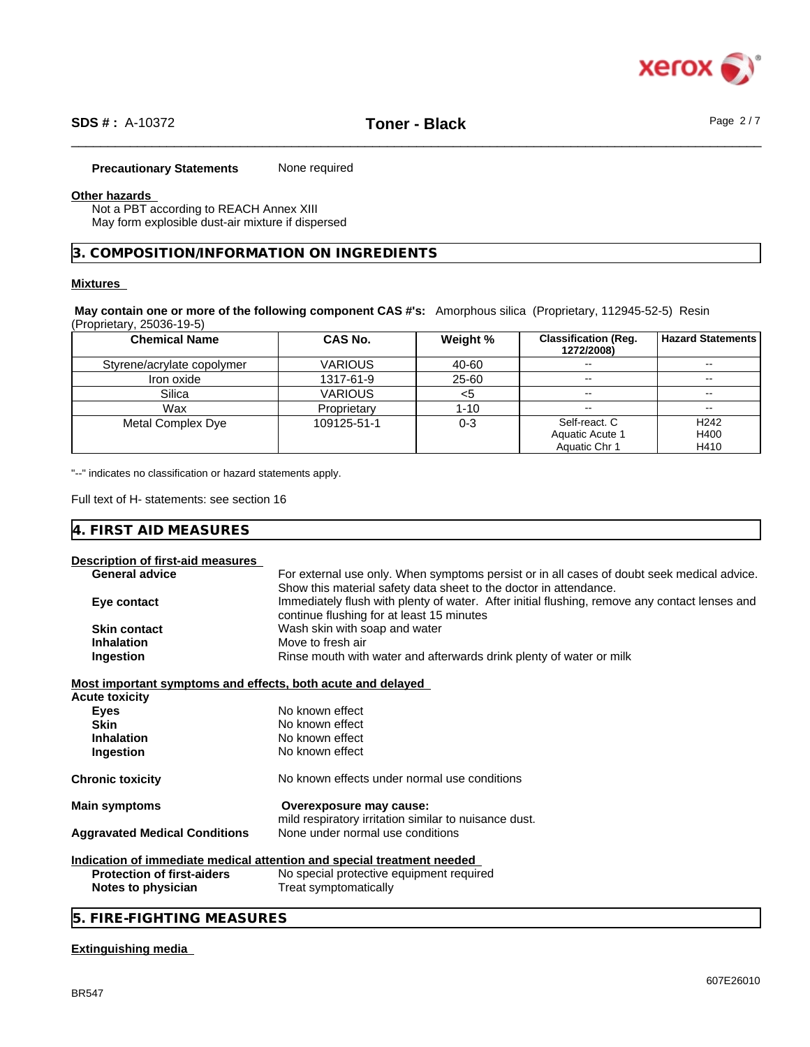

\_\_\_\_\_\_\_\_\_\_\_\_\_\_\_\_\_\_\_\_\_\_\_\_\_\_\_\_\_\_\_\_\_\_\_\_\_\_\_\_\_\_\_\_\_\_\_\_\_\_\_\_\_\_\_\_\_\_\_\_\_\_\_\_\_\_\_\_\_\_\_\_\_\_\_\_\_\_\_\_\_\_\_\_\_\_\_\_\_\_\_\_\_\_ **SDS # :** A-10372 **Toner - Black** Page 2 / 7

#### **Precautionary Statements** None required

#### **Other hazards**

Not a PBT according to REACH Annex XIII May form explosible dust-air mixture if dispersed

# **3. COMPOSITION/INFORMATION ON INGREDIENTS**

#### **Mixtures**

**May contain one or more of the following component CAS #'s:** Amorphous silica (Proprietary, 112945-52-5) Resin (Proprietary, 25036-19-5)

| <b>Chemical Name</b>       | <b>CAS No.</b> | Weight % | <b>Classification (Req.</b><br>1272/2008) | <b>Hazard Statements</b> |
|----------------------------|----------------|----------|-------------------------------------------|--------------------------|
| Styrene/acrylate copolymer | <b>VARIOUS</b> | 40-60    | $- -$                                     |                          |
| Iron oxide                 | 1317-61-9      | 25-60    | $\overline{\phantom{m}}$                  | --                       |
| Silica                     | <b>VARIOUS</b> |          | $\overline{\phantom{a}}$                  | $- -$                    |
| Wax                        | Proprietary    | 1-10     | $- -$                                     |                          |
| Metal Complex Dye          | 109125-51-1    | $0 - 3$  | Self-react. C                             | H <sub>242</sub>         |
|                            |                |          | Aquatic Acute 1                           | H400                     |
|                            |                |          | Aquatic Chr 1                             | H410                     |

"--" indicates no classification or hazard statements apply.

Full text of H- statements: see section 16

#### **4. FIRST AID MEASURES**

#### **Description of first-aid measures**

| <b>General advice</b><br>For external use only. When symptoms persist or in all cases of doubt seek medical advice. |                                                                                               |  |
|---------------------------------------------------------------------------------------------------------------------|-----------------------------------------------------------------------------------------------|--|
|                                                                                                                     | Show this material safety data sheet to the doctor in attendance.                             |  |
| Eye contact                                                                                                         | Immediately flush with plenty of water. After initial flushing, remove any contact lenses and |  |
|                                                                                                                     | continue flushing for at least 15 minutes                                                     |  |
| <b>Skin contact</b>                                                                                                 | Wash skin with soap and water                                                                 |  |
| <b>Inhalation</b>                                                                                                   | Move to fresh air                                                                             |  |
| Ingestion                                                                                                           | Rinse mouth with water and afterwards drink plenty of water or milk                           |  |
| Most important symptoms and effects, both acute and delayed                                                         |                                                                                               |  |
| <b>Acute toxicity</b>                                                                                               |                                                                                               |  |
| Eyes                                                                                                                | No known effect                                                                               |  |
| <b>Skin</b>                                                                                                         | No known effect                                                                               |  |
| <b>Inhalation</b>                                                                                                   | No known effect                                                                               |  |
| Ingestion                                                                                                           | No known effect                                                                               |  |
| <b>Chronic toxicity</b>                                                                                             | No known effects under normal use conditions                                                  |  |
| <b>Main symptoms</b>                                                                                                | Overexposure may cause:                                                                       |  |
|                                                                                                                     | mild respiratory irritation similar to nuisance dust.                                         |  |
| <b>Aggravated Medical Conditions</b>                                                                                | None under normal use conditions                                                              |  |
|                                                                                                                     | Indication of immediate medical attention and special treatment needed                        |  |
| <b>Protection of first-aiders</b>                                                                                   | No special protective equipment required                                                      |  |
| Notes to physician                                                                                                  | Treat symptomatically                                                                         |  |
| 5. FIRE-FIGHTING MEASURES                                                                                           |                                                                                               |  |
|                                                                                                                     |                                                                                               |  |

#### **Extinguishing media**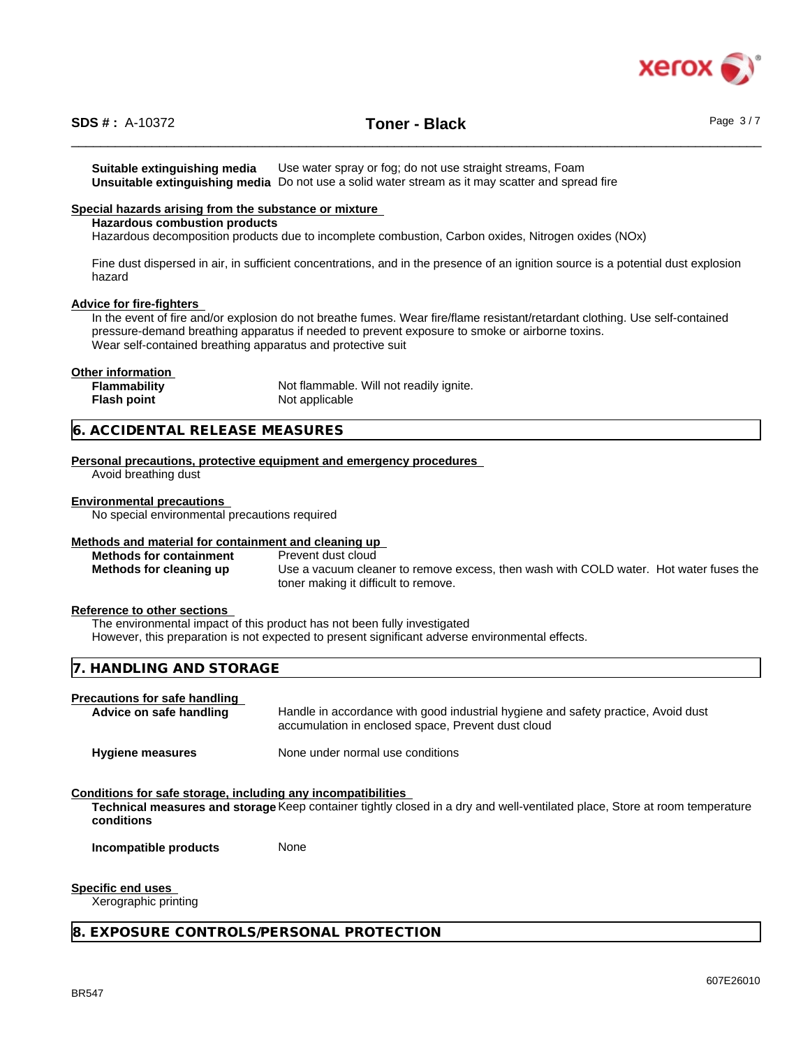

**Suitable extinguishing media** Use water spray or fog; do not use straight streams, Foam **Unsuitable extinguishing media** Do not use a solid water stream as it may scatterand spread fire

#### **Special hazards arising from the substance or mixture**

#### **Hazardous combustion products**

Hazardous decomposition products due to incomplete combustion, Carbon oxides, Nitrogen oxides (NOx)

Fine dust dispersed in air, in sufficient concentrations, and in the presence of an ignition source is a potential dust explosion hazard

#### **Advice for fire-fighters**

In the event of fire and/or explosion do not breathe fumes. Wear fire/flame resistant/retardant clothing. Use self-contained pressure-demand breathing apparatus if needed to prevent exposure to smoke or airborne toxins. Wear self-contained breathing apparatus and protective suit

#### **Other information**

| <b>Flammability</b> | Not flammable. Will not readily ignite. |
|---------------------|-----------------------------------------|
| Flash point         | Not applicable                          |

#### **6. ACCIDENTAL RELEASE MEASURES**

**Personal precautions, protective equipment and emergency procedures**

Avoid breathing dust

#### **Environmental precautions**

No special environmental precautions required

#### **Methods and material for containment and cleaning up**

**Methods for containment** Prevent dust cloud

**Methods for cleaning up** Use a vacuum cleaner to remove excess, then wash with COLD water. Hot water fuses the toner making it difficult to remove.

#### **Reference to other sections**

The environmental impact of this product has not been fully investigated However, this preparation is not expected to present significant adverse environmental effects.

#### **7. HANDLING AND STORAGE**

#### **Precautions for safe handling**

**Advice on safe handling** Handle in accordance with good industrial hygiene and safety practice, Avoid dust accumulation in enclosed space, Prevent dust cloud

**Hygiene measures** None under normal use conditions

#### **Conditions for safe storage, including any incompatibilities**

**Technical measures and storage** Keep container tightly closed in a dry and well-ventilated place, Store at room temperature **conditions**

**Incompatible products** None

#### **Specific end uses**

Xerographic printing

**8. EXPOSURE CONTROLS/PERSONAL PROTECTION**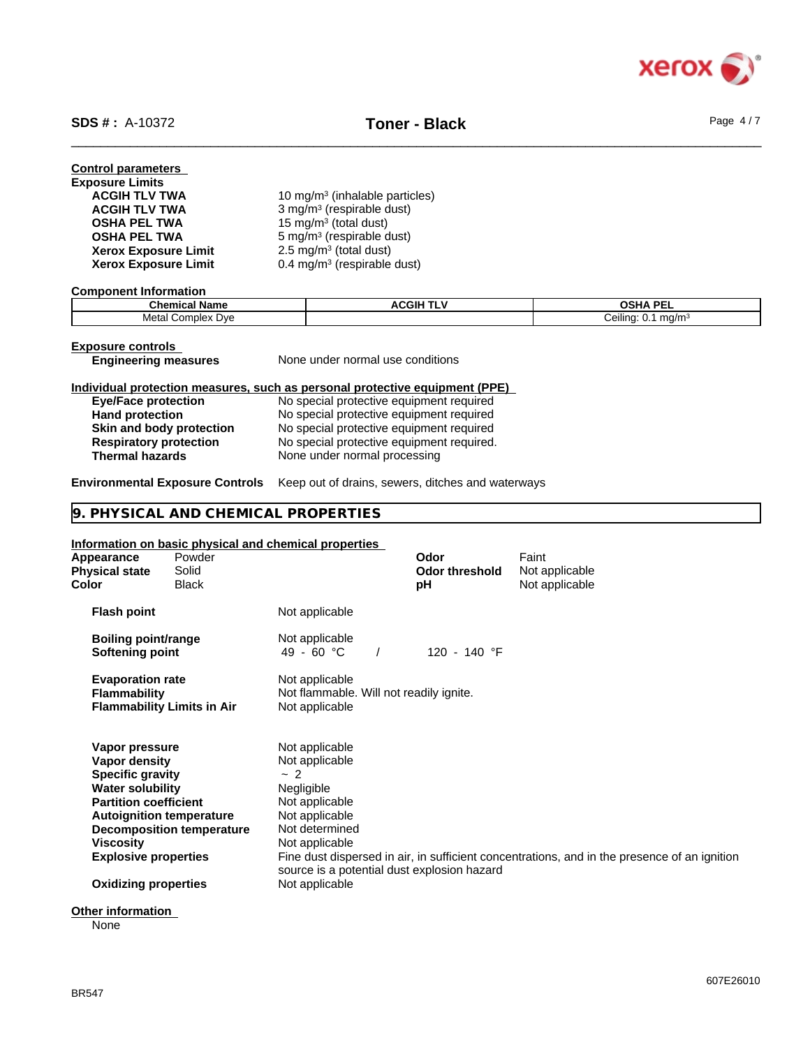

| <b>Control parameters</b><br><b>Exposure Limits</b><br><b>ACGIH TLV TWA</b> | 10 mg/m <sup>3</sup> (inhalable particles) |
|-----------------------------------------------------------------------------|--------------------------------------------|
| <b>ACGIH TLV TWA</b>                                                        | 3 mg/m <sup>3</sup> (respirable dust)      |
| <b>OSHA PEL TWA</b>                                                         | 15 mg/m <sup>3</sup> (total dust)          |
| <b>OSHA PEL TWA</b>                                                         | 5 mg/m <sup>3</sup> (respirable dust)      |
| <b>Xerox Exposure Limit</b>                                                 | 2.5 mg/m $3$ (total dust)                  |
| <b>Xerox Exposure Limit</b>                                                 | $0.4 \text{ mg/m}^3$ (respirable dust)     |

#### **Component Information**

| Chemical<br>- -<br>∣ Name      | <b>ACGIH</b><br>. | <b>OSHA PEL</b>                               |
|--------------------------------|-------------------|-----------------------------------------------|
| Metal<br>Complex<br><b>Dve</b> |                   | <br>ma/m <sup>3</sup><br>Ceiling<br>U.<br>. . |

|--|

**Engineering measures** None under normal use conditions

#### **Individual protection measures, such as personal protective equipment (PPE)**

| <b>Eye/Face protection</b>    | No special protective equipment required  |
|-------------------------------|-------------------------------------------|
| <b>Hand protection</b>        | No special protective equipment required  |
| Skin and body protection      | No special protective equipment required  |
| <b>Respiratory protection</b> | No special protective equipment required. |
| <b>Thermal hazards</b>        | None under normal processing              |

#### **Environmental Exposure Controls** Keep out of drains, sewers, ditches and waterways

#### **9. PHYSICAL AND CHEMICAL PROPERTIES**

#### **Information on basic physical and chemical properties**

| Appearance<br><b>Physical state</b><br>Color                                                                                                                                                                                               | Powder<br>Solid<br><b>Black</b>   |                                                                                                                                                                                               | Odor<br><b>Odor threshold</b><br>рH | Faint<br>Not applicable<br>Not applicable                                                    |
|--------------------------------------------------------------------------------------------------------------------------------------------------------------------------------------------------------------------------------------------|-----------------------------------|-----------------------------------------------------------------------------------------------------------------------------------------------------------------------------------------------|-------------------------------------|----------------------------------------------------------------------------------------------|
| <b>Flash point</b>                                                                                                                                                                                                                         |                                   | Not applicable                                                                                                                                                                                |                                     |                                                                                              |
| <b>Boiling point/range</b><br>Softening point                                                                                                                                                                                              |                                   | Not applicable<br>49 - 60 °C                                                                                                                                                                  | 120 - 140 °F                        |                                                                                              |
| <b>Evaporation rate</b><br><b>Flammability</b>                                                                                                                                                                                             | <b>Flammability Limits in Air</b> | Not applicable<br>Not flammable. Will not readily ignite.<br>Not applicable                                                                                                                   |                                     |                                                                                              |
| Vapor pressure<br>Vapor density<br><b>Specific gravity</b><br><b>Water solubility</b><br><b>Partition coefficient</b><br><b>Autoignition temperature</b><br><b>Viscosity</b><br><b>Explosive properties</b><br><b>Oxidizing properties</b> | <b>Decomposition temperature</b>  | Not applicable<br>Not applicable<br>~2<br>Negligible<br>Not applicable<br>Not applicable<br>Not determined<br>Not applicable<br>source is a potential dust explosion hazard<br>Not applicable |                                     | Fine dust dispersed in air, in sufficient concentrations, and in the presence of an ignition |
| <b>Other information</b>                                                                                                                                                                                                                   |                                   |                                                                                                                                                                                               |                                     |                                                                                              |

None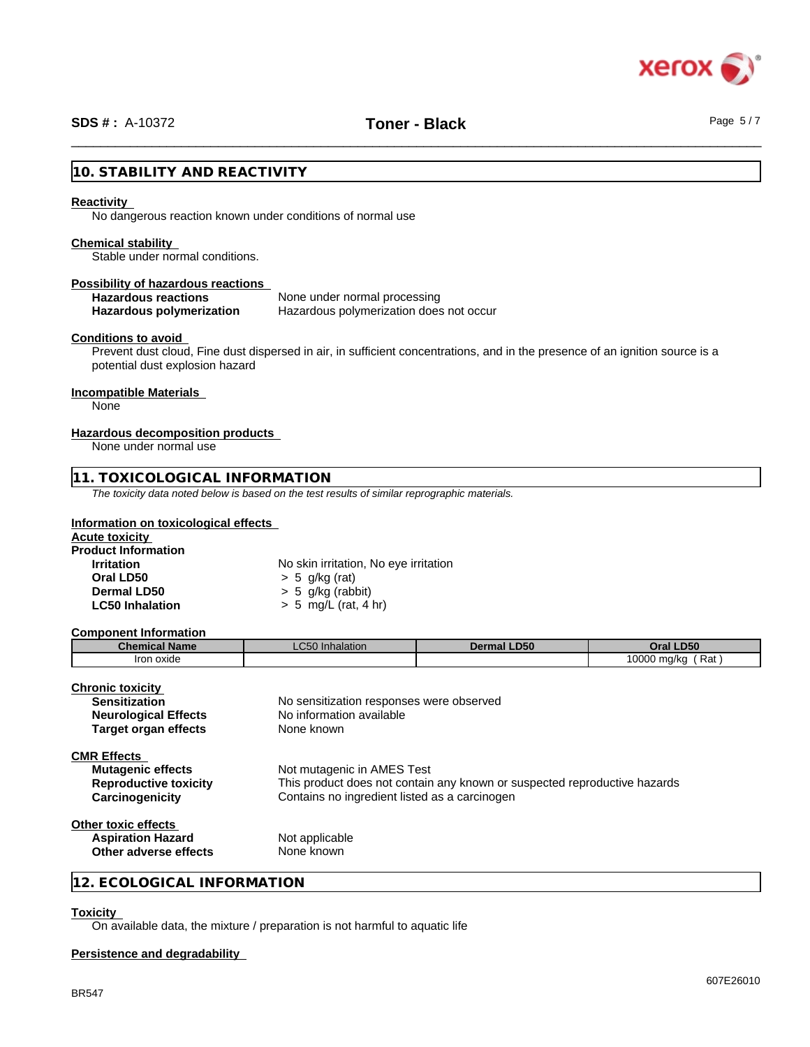

# \_\_\_\_\_\_\_\_\_\_\_\_\_\_\_\_\_\_\_\_\_\_\_\_\_\_\_\_\_\_\_\_\_\_\_\_\_\_\_\_\_\_\_\_\_\_\_\_\_\_\_\_\_\_\_\_\_\_\_\_\_\_\_\_\_\_\_\_\_\_\_\_\_\_\_\_\_\_\_\_\_\_\_\_\_\_\_\_\_\_\_\_\_\_ **SDS # :** A-10372 **Toner - Black** Page 5 / 7

#### **10. STABILITY AND REACTIVITY**

#### **Reactivity**

No dangerous reaction known under conditions of normal use

#### **Chemical stability**

Stable under normal conditions.

# **Possibility of hazardous reactions**

None under normal processing **Hazardous polymerization** Hazardous polymerization does not occur

#### **Conditions to avoid**

Prevent dust cloud, Fine dust dispersed in air, in sufficient concentrations, and in the presence of an ignition source is a potential dust explosion hazard

#### **Incompatible Materials**

None

#### **Hazardous decomposition products**

None under normal use

#### **11. TOXICOLOGICAL INFORMATION**

*The toxicity data noted below is based on the test results of similar reprographic materials.*

#### **Information on toxicological effects**

| <b>Acute toxicity</b>      |                                       |
|----------------------------|---------------------------------------|
| <b>Product Information</b> |                                       |
| <b>Irritation</b>          | No skin irritation, No eye irritation |
| Oral LD50                  | $> 5$ g/kg (rat)                      |
| Dermal LD50                | $> 5$ g/kg (rabbit)                   |
| <b>LC50 Inhalation</b>     | $> 5$ mg/L (rat, 4 hr)                |
|                            |                                       |

#### **Component Information**

| <b>Chemical Name</b>         | <b>LC50</b> Inhalation                        | <b>Dermal LD50</b>                                                        | Oral LD50         |  |  |
|------------------------------|-----------------------------------------------|---------------------------------------------------------------------------|-------------------|--|--|
| Iron oxide                   |                                               |                                                                           | 10000 mg/kg (Rat) |  |  |
|                              |                                               |                                                                           |                   |  |  |
| <b>Chronic toxicity</b>      |                                               |                                                                           |                   |  |  |
| <b>Sensitization</b>         | No sensitization responses were observed      |                                                                           |                   |  |  |
| <b>Neurological Effects</b>  |                                               | No information available                                                  |                   |  |  |
| <b>Target organ effects</b>  | None known                                    |                                                                           |                   |  |  |
| <b>CMR Effects</b>           |                                               |                                                                           |                   |  |  |
| <b>Mutagenic effects</b>     | Not mutagenic in AMES Test                    |                                                                           |                   |  |  |
| <b>Reproductive toxicity</b> |                                               | This product does not contain any known or suspected reproductive hazards |                   |  |  |
| Carcinogenicity              | Contains no ingredient listed as a carcinogen |                                                                           |                   |  |  |
| Other toxic effects          |                                               |                                                                           |                   |  |  |
| <b>Aspiration Hazard</b>     | Not applicable                                |                                                                           |                   |  |  |
| Other adverse effects        | None known                                    |                                                                           |                   |  |  |
|                              |                                               |                                                                           |                   |  |  |

## **12. ECOLOGICAL INFORMATION**

# **Toxicity**

 $\overline{On}$  available data, the mixture / preparation is not harmful to aquatic life

# **Persistence and degradability**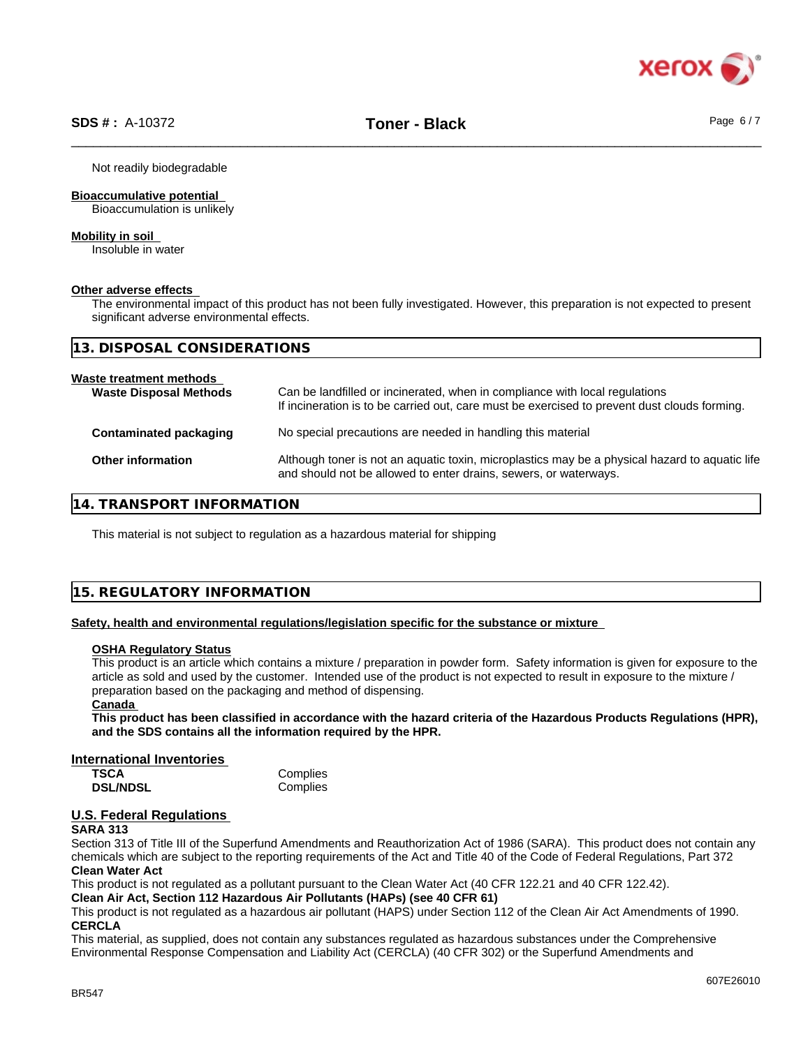

Not readily biodegradable

#### **Bioaccumulative potential**

Bioaccumulation is unlikely

#### **Mobility in soil**

Insoluble in water

#### **Other adverse effects**

The environmental impact of this product has not been fully investigated. However, this preparation is not expected to present significant adverse environmental effects.

| 13. DISPOSAL CONSIDERATIONS                              |                                                                                                                                                                             |
|----------------------------------------------------------|-----------------------------------------------------------------------------------------------------------------------------------------------------------------------------|
| Waste treatment methods<br><b>Waste Disposal Methods</b> | Can be landfilled or incinerated, when in compliance with local regulations<br>If incineration is to be carried out, care must be exercised to prevent dust clouds forming. |
| Contaminated packaging                                   | No special precautions are needed in handling this material                                                                                                                 |
| <b>Other information</b>                                 | Although toner is not an aquatic toxin, microplastics may be a physical hazard to aquatic life<br>and should not be allowed to enter drains, sewers, or waterways.          |

# **14. TRANSPORT INFORMATION**

This material is not subject to regulation as a hazardous material for shipping

# **15. REGULATORY INFORMATION**

#### **Safety, health and environmental regulations/legislation specific for the substance or mixture**

#### **OSHA Regulatory Status**

This product is an article which contains a mixture / preparation in powder form. Safety information is given for exposure to the article as sold and used by the customer. Intended use of the product is not expected to result in exposure to the mixture / preparation based on the packaging and method of dispensing.

#### **Canada**

This product has been classified in accordance with the hazard criteria of the Hazardous Products Regulations (HPR), **and the SDS contains all the information required by the HPR.**

#### **International Inventories**

| <b>TSCA</b>     | Complies |
|-----------------|----------|
| <b>DSL/NDSL</b> | Complies |

# **U.S. Federal Regulations**

#### **SARA 313**

Section 313 of Title III of the Superfund Amendments and Reauthorization Act of 1986 (SARA). This product does not contain any chemicals which are subject to the reporting requirements of the Act and Title 40 of the Code of Federal Regulations, Part 372 **Clean Water Act**

This product is not regulated as a pollutant pursuant to the Clean Water Act (40 CFR 122.21 and 40 CFR 122.42).

**Clean Air Act,Section 112 Hazardous Air Pollutants (HAPs) (see 40 CFR 61)**

This product is not regulated as a hazardous air pollutant (HAPS) under Section 112 of the Clean Air Act Amendments of 1990. **CERCLA**

This material, as supplied, does not contain any substances regulated as hazardous substances under the Comprehensive Environmental Response Compensation and Liability Act (CERCLA) (40 CFR 302) or the Superfund Amendments and